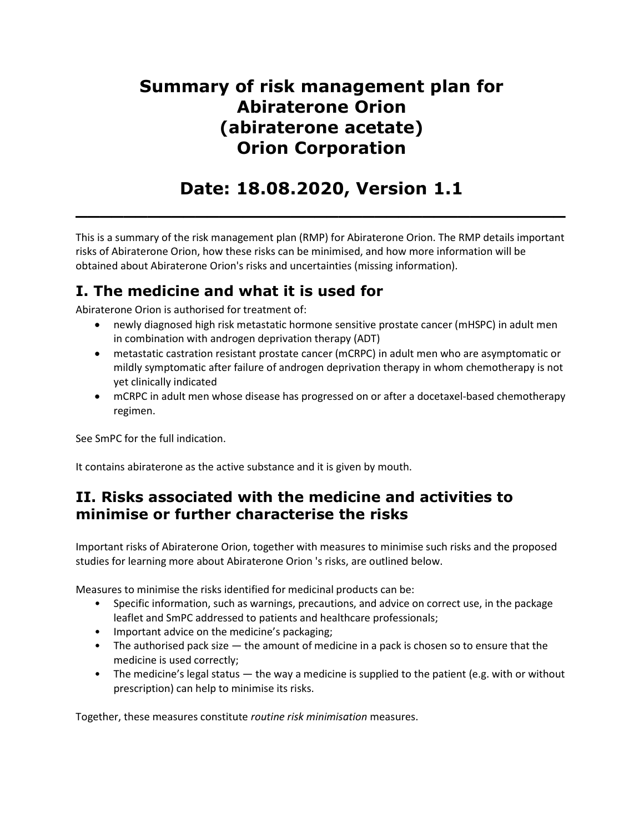# Summary of risk management plan for Abiraterone Orion (abiraterone acetate) Orion Corporation

# Date: 18.08.2020, Version 1.1

 $\overline{\phantom{a}}$  , and the contract of the contract of the contract of the contract of the contract of the contract of the contract of the contract of the contract of the contract of the contract of the contract of the contrac

This is a summary of the risk management plan (RMP) for Abiraterone Orion. The RMP details important risks of Abiraterone Orion, how these risks can be minimised, and how more information will be obtained about Abiraterone Orion's risks and uncertainties (missing information).

## I. The medicine and what it is used for

Abiraterone Orion is authorised for treatment of:

- newly diagnosed high risk metastatic hormone sensitive prostate cancer (mHSPC) in adult men in combination with androgen deprivation therapy (ADT)
- metastatic castration resistant prostate cancer (mCRPC) in adult men who are asymptomatic or mildly symptomatic after failure of androgen deprivation therapy in whom chemotherapy is not yet clinically indicated
- mCRPC in adult men whose disease has progressed on or after a docetaxel-based chemotherapy regimen.

See SmPC for the full indication.

It contains abiraterone as the active substance and it is given by mouth.

### II. Risks associated with the medicine and activities to minimise or further characterise the risks

Important risks of Abiraterone Orion, together with measures to minimise such risks and the proposed studies for learning more about Abiraterone Orion 's risks, are outlined below.

Measures to minimise the risks identified for medicinal products can be:

- Specific information, such as warnings, precautions, and advice on correct use, in the package leaflet and SmPC addressed to patients and healthcare professionals;
- Important advice on the medicine's packaging;
- The authorised pack size the amount of medicine in a pack is chosen so to ensure that the medicine is used correctly;
- The medicine's legal status  $-$  the way a medicine is supplied to the patient (e.g. with or without prescription) can help to minimise its risks.

Together, these measures constitute routine risk minimisation measures.